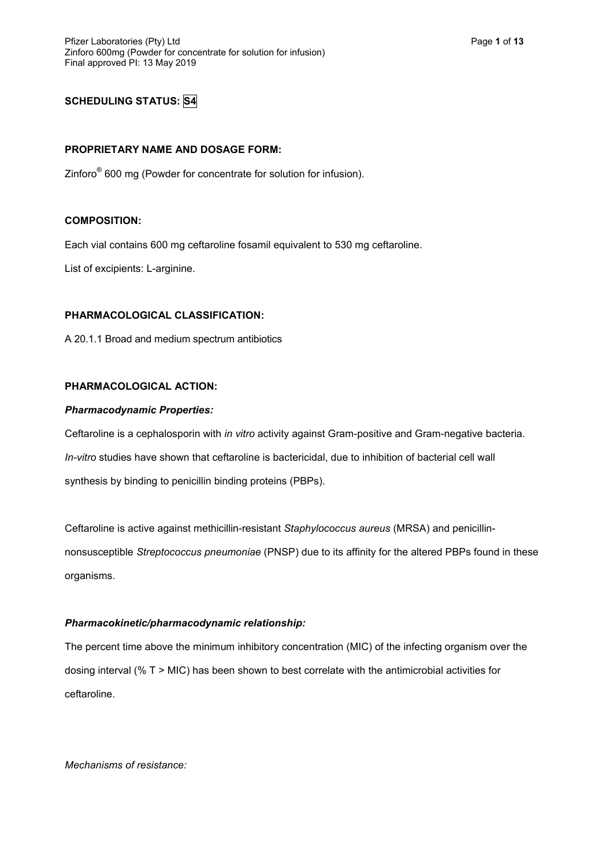## **SCHEDULING STATUS: S4**

### **PROPRIETARY NAME AND DOSAGE FORM:**

Zinforo<sup>®</sup> 600 mg (Powder for concentrate for solution for infusion).

## **COMPOSITION:**

Each vial contains 600 mg ceftaroline fosamil equivalent to 530 mg ceftaroline.

List of excipients: L-arginine.

## **PHARMACOLOGICAL CLASSIFICATION:**

A 20.1.1 Broad and medium spectrum antibiotics

### **PHARMACOLOGICAL ACTION:**

#### *Pharmacodynamic Properties:*

Ceftaroline is a cephalosporin with *in vitro* activity against Gram-positive and Gram-negative bacteria. *In-vitro* studies have shown that ceftaroline is bactericidal, due to inhibition of bacterial cell wall synthesis by binding to penicillin binding proteins (PBPs).

Ceftaroline is active against methicillin-resistant *Staphylococcus aureus* (MRSA) and penicillinnonsusceptible *Streptococcus pneumoniae* (PNSP) due to its affinity for the altered PBPs found in these organisms.

## *Pharmacokinetic/pharmacodynamic relationship:*

The percent time above the minimum inhibitory concentration (MIC) of the infecting organism over the dosing interval (% T > MIC) has been shown to best correlate with the antimicrobial activities for ceftaroline.

*Mechanisms of resistance:*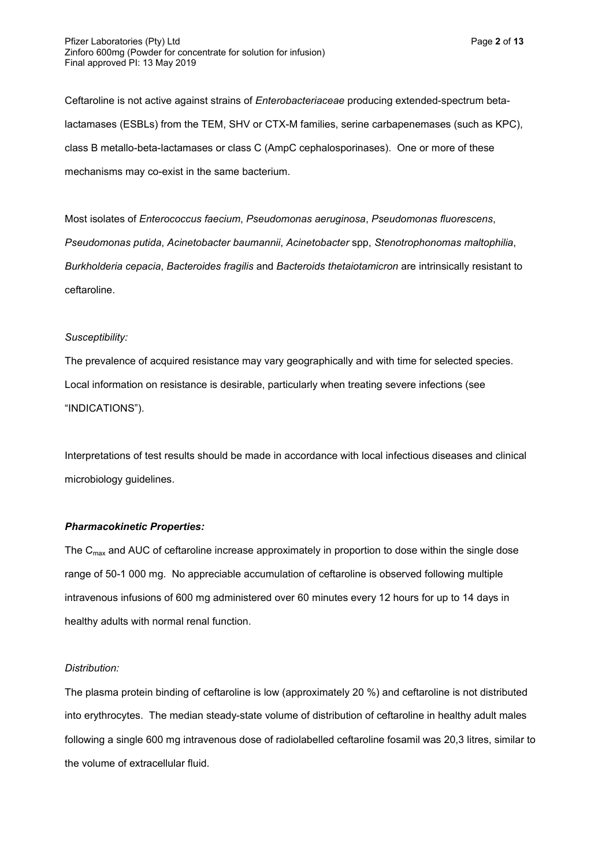Ceftaroline is not active against strains of *Enterobacteriaceae* producing extended-spectrum betalactamases (ESBLs) from the TEM, SHV or CTX-M families, serine carbapenemases (such as KPC), class B metallo-beta-lactamases or class C (AmpC cephalosporinases). One or more of these mechanisms may co-exist in the same bacterium.

Most isolates of *Enterococcus faecium*, *Pseudomonas aeruginosa*, *Pseudomonas fluorescens*, *Pseudomonas putida*, *Acinetobacter baumannii*, *Acinetobacter* spp, *Stenotrophonomas maltophilia*, *Burkholderia cepacia*, *Bacteroides fragilis* and *Bacteroids thetaiotamicron* are intrinsically resistant to ceftaroline.

#### *Susceptibility:*

The prevalence of acquired resistance may vary geographically and with time for selected species. Local information on resistance is desirable, particularly when treating severe infections (see "INDICATIONS").

Interpretations of test results should be made in accordance with local infectious diseases and clinical microbiology guidelines.

## *Pharmacokinetic Properties:*

The  $C<sub>max</sub>$  and AUC of ceftaroline increase approximately in proportion to dose within the single dose range of 50-1 000 mg. No appreciable accumulation of ceftaroline is observed following multiple intravenous infusions of 600 mg administered over 60 minutes every 12 hours for up to 14 days in healthy adults with normal renal function.

#### *Distribution:*

The plasma protein binding of ceftaroline is low (approximately 20 %) and ceftaroline is not distributed into erythrocytes. The median steady-state volume of distribution of ceftaroline in healthy adult males following a single 600 mg intravenous dose of radiolabelled ceftaroline fosamil was 20,3 litres, similar to the volume of extracellular fluid.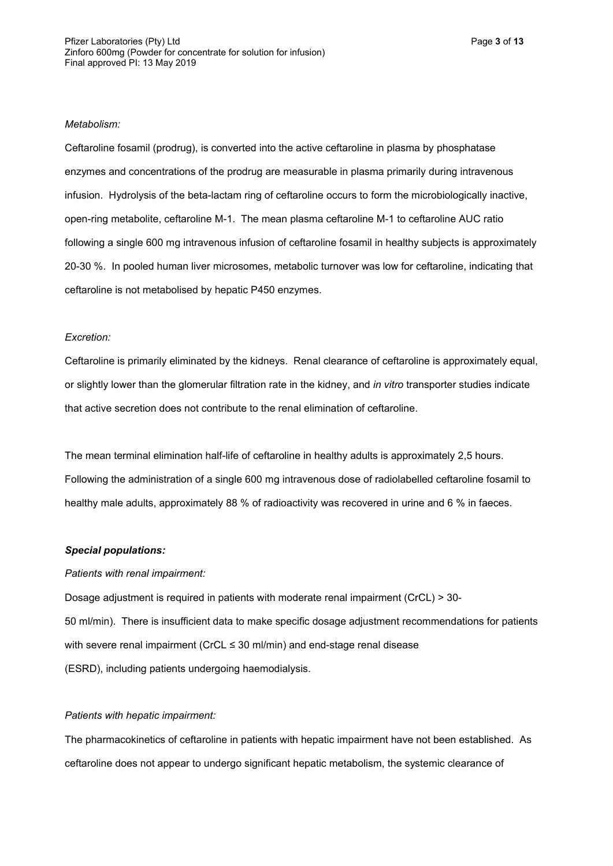#### *Metabolism:*

Ceftaroline fosamil (prodrug), is converted into the active ceftaroline in plasma by phosphatase enzymes and concentrations of the prodrug are measurable in plasma primarily during intravenous infusion. Hydrolysis of the beta-lactam ring of ceftaroline occurs to form the microbiologically inactive, open-ring metabolite, ceftaroline M-1. The mean plasma ceftaroline M-1 to ceftaroline AUC ratio following a single 600 mg intravenous infusion of ceftaroline fosamil in healthy subjects is approximately 20-30 %. In pooled human liver microsomes, metabolic turnover was low for ceftaroline, indicating that ceftaroline is not metabolised by hepatic P450 enzymes.

#### *Excretion:*

Ceftaroline is primarily eliminated by the kidneys. Renal clearance of ceftaroline is approximately equal, or slightly lower than the glomerular filtration rate in the kidney, and *in vitro* transporter studies indicate that active secretion does not contribute to the renal elimination of ceftaroline.

The mean terminal elimination half-life of ceftaroline in healthy adults is approximately 2,5 hours. Following the administration of a single 600 mg intravenous dose of radiolabelled ceftaroline fosamil to healthy male adults, approximately 88 % of radioactivity was recovered in urine and 6 % in faeces.

#### *Special populations:*

#### *Patients with renal impairment:*

Dosage adjustment is required in patients with moderate renal impairment (CrCL) > 30- 50 ml/min). There is insufficient data to make specific dosage adjustment recommendations for patients with severe renal impairment (CrCL ≤ 30 ml/min) and end-stage renal disease (ESRD), including patients undergoing haemodialysis.

#### *Patients with hepatic impairment:*

The pharmacokinetics of ceftaroline in patients with hepatic impairment have not been established. As ceftaroline does not appear to undergo significant hepatic metabolism, the systemic clearance of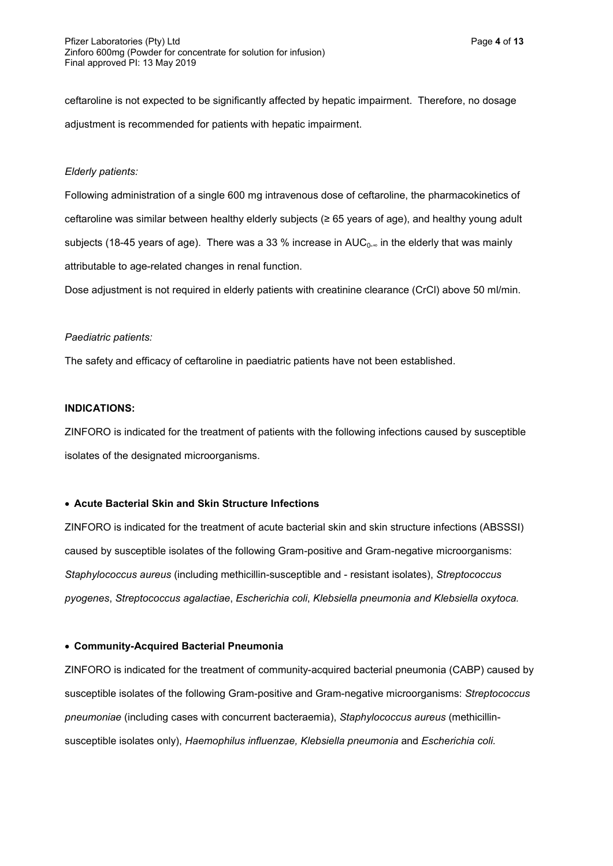ceftaroline is not expected to be significantly affected by hepatic impairment. Therefore, no dosage adjustment is recommended for patients with hepatic impairment.

#### *Elderly patients:*

Following administration of a single 600 mg intravenous dose of ceftaroline, the pharmacokinetics of ceftaroline was similar between healthy elderly subjects (≥ 65 years of age), and healthy young adult subjects (18-45 years of age). There was a 33 % increase in  $AUC_{0-∞}$  in the elderly that was mainly attributable to age-related changes in renal function.

Dose adjustment is not required in elderly patients with creatinine clearance (CrCl) above 50 ml/min.

#### *Paediatric patients:*

The safety and efficacy of ceftaroline in paediatric patients have not been established.

#### **INDICATIONS:**

ZINFORO is indicated for the treatment of patients with the following infections caused by susceptible isolates of the designated microorganisms.

### **Acute Bacterial Skin and Skin Structure Infections**

ZINFORO is indicated for the treatment of acute bacterial skin and skin structure infections (ABSSSI) caused by susceptible isolates of the following Gram-positive and Gram-negative microorganisms: *Staphylococcus aureus* (including methicillin-susceptible and - resistant isolates), *Streptococcus pyogenes*, *Streptococcus agalactiae*, *Escherichia coli*, *Klebsiella pneumonia and Klebsiella oxytoca.*

#### **Community-Acquired Bacterial Pneumonia**

ZINFORO is indicated for the treatment of community-acquired bacterial pneumonia (CABP) caused by susceptible isolates of the following Gram-positive and Gram-negative microorganisms: *Streptococcus pneumoniae* (including cases with concurrent bacteraemia), *Staphylococcus aureus* (methicillinsusceptible isolates only), *Haemophilus influenzae, Klebsiella pneumonia* and *Escherichia coli.*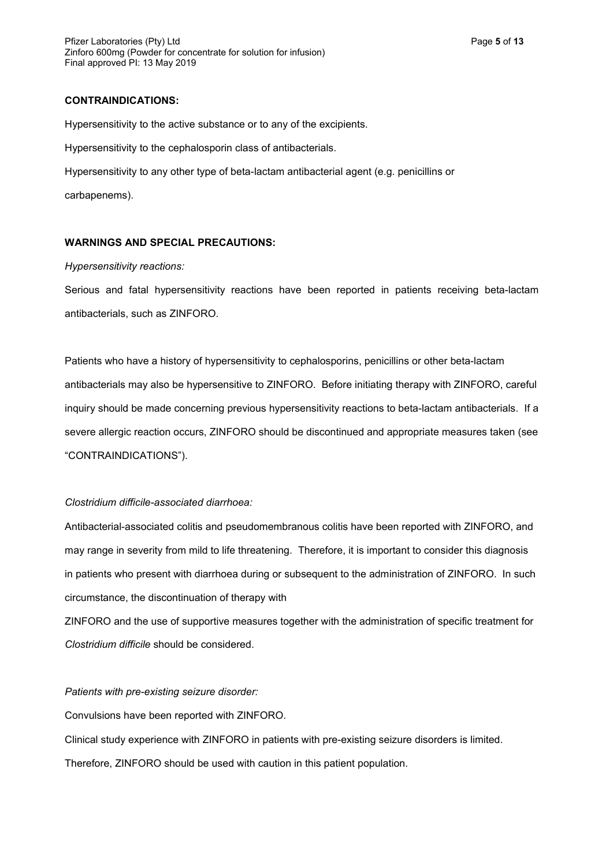## **CONTRAINDICATIONS:**

Hypersensitivity to the active substance or to any of the excipients.

Hypersensitivity to the cephalosporin class of antibacterials.

Hypersensitivity to any other type of beta-lactam antibacterial agent (e.g. penicillins or

carbapenems).

## **WARNINGS AND SPECIAL PRECAUTIONS:**

#### *Hypersensitivity reactions:*

Serious and fatal hypersensitivity reactions have been reported in patients receiving beta-lactam antibacterials, such as ZINFORO.

Patients who have a history of hypersensitivity to cephalosporins, penicillins or other beta-lactam antibacterials may also be hypersensitive to ZINFORO. Before initiating therapy with ZINFORO, careful inquiry should be made concerning previous hypersensitivity reactions to beta-lactam antibacterials. If a severe allergic reaction occurs, ZINFORO should be discontinued and appropriate measures taken (see "CONTRAINDICATIONS").

### *Clostridium difficile-associated diarrhoea:*

Antibacterial-associated colitis and pseudomembranous colitis have been reported with ZINFORO, and may range in severity from mild to life threatening. Therefore, it is important to consider this diagnosis in patients who present with diarrhoea during or subsequent to the administration of ZINFORO. In such circumstance, the discontinuation of therapy with

ZINFORO and the use of supportive measures together with the administration of specific treatment for *Clostridium difficile* should be considered.

### *Patients with pre-existing seizure disorder:*

Convulsions have been reported with ZINFORO.

Clinical study experience with ZINFORO in patients with pre-existing seizure disorders is limited.

Therefore, ZINFORO should be used with caution in this patient population.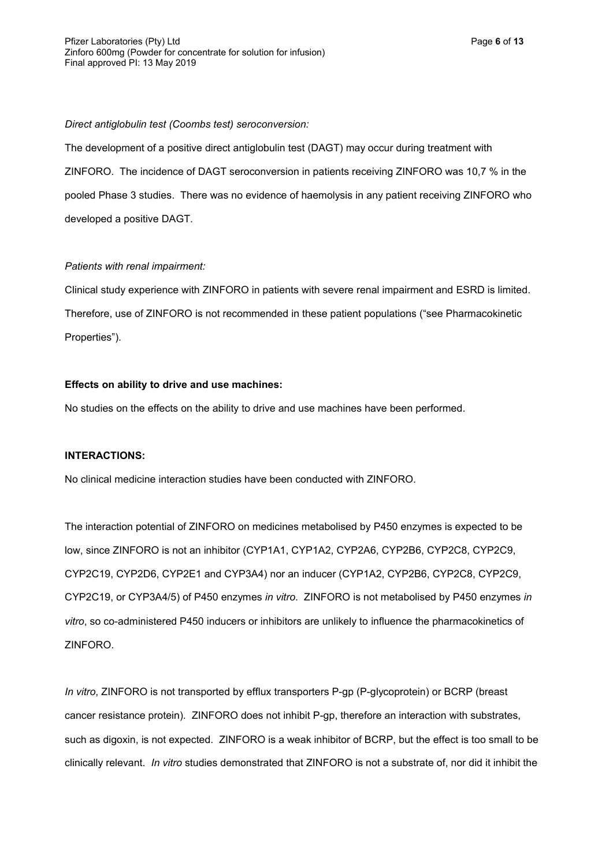*Direct antiglobulin test (Coombs test) seroconversion:*

The development of a positive direct antiglobulin test (DAGT) may occur during treatment with ZINFORO. The incidence of DAGT seroconversion in patients receiving ZINFORO was 10,7 % in the pooled Phase 3 studies. There was no evidence of haemolysis in any patient receiving ZINFORO who developed a positive DAGT.

## *Patients with renal impairment:*

Clinical study experience with ZINFORO in patients with severe renal impairment and ESRD is limited. Therefore, use of ZINFORO is not recommended in these patient populations ("see Pharmacokinetic Properties").

## **Effects on ability to drive and use machines:**

No studies on the effects on the ability to drive and use machines have been performed.

## **INTERACTIONS:**

No clinical medicine interaction studies have been conducted with ZINFORO.

The interaction potential of ZINFORO on medicines metabolised by P450 enzymes is expected to be low, since ZINFORO is not an inhibitor (CYP1A1, CYP1A2, CYP2A6, CYP2B6, CYP2C8, CYP2C9, CYP2C19, CYP2D6, CYP2E1 and CYP3A4) nor an inducer (CYP1A2, CYP2B6, CYP2C8, CYP2C9, CYP2C19, or CYP3A4/5) of P450 enzymes *in vitro*. ZINFORO is not metabolised by P450 enzymes *in vitro*, so co-administered P450 inducers or inhibitors are unlikely to influence the pharmacokinetics of ZINFORO.

*In vitro*, ZINFORO is not transported by efflux transporters P-gp (P-glycoprotein) or BCRP (breast cancer resistance protein). ZINFORO does not inhibit P-gp, therefore an interaction with substrates, such as digoxin, is not expected. ZINFORO is a weak inhibitor of BCRP, but the effect is too small to be clinically relevant. *In vitro* studies demonstrated that ZINFORO is not a substrate of, nor did it inhibit the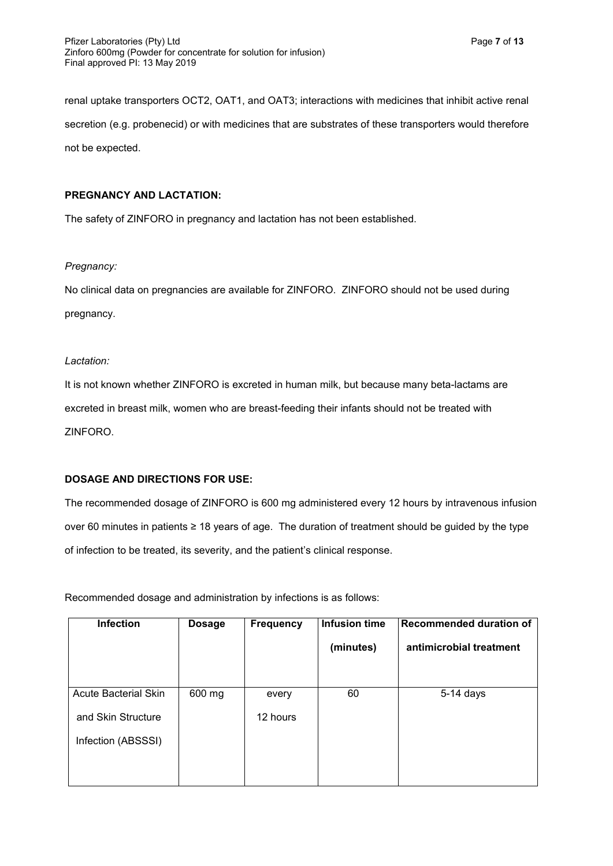renal uptake transporters OCT2, OAT1, and OAT3; interactions with medicines that inhibit active renal secretion (e.g. probenecid) or with medicines that are substrates of these transporters would therefore not be expected.

## **PREGNANCY AND LACTATION:**

The safety of ZINFORO in pregnancy and lactation has not been established.

## *Pregnancy:*

No clinical data on pregnancies are available for ZINFORO. ZINFORO should not be used during pregnancy.

## *Lactation:*

It is not known whether ZINFORO is excreted in human milk, but because many beta-lactams are excreted in breast milk, women who are breast-feeding their infants should not be treated with ZINFORO.

## **DOSAGE AND DIRECTIONS FOR USE:**

The recommended dosage of ZINFORO is 600 mg administered every 12 hours by intravenous infusion over 60 minutes in patients ≥ 18 years of age. The duration of treatment should be guided by the type of infection to be treated, its severity, and the patient's clinical response.

Recommended dosage and administration by infections is as follows:

| <b>Infection</b>            | <b>Dosage</b> | <b>Frequency</b> | Infusion time | Recommended duration of |
|-----------------------------|---------------|------------------|---------------|-------------------------|
|                             |               |                  | (minutes)     | antimicrobial treatment |
|                             |               |                  |               |                         |
| <b>Acute Bacterial Skin</b> | 600 mg        | every            | 60            | $5-14$ days             |
| and Skin Structure          |               | 12 hours         |               |                         |
| Infection (ABSSSI)          |               |                  |               |                         |
|                             |               |                  |               |                         |
|                             |               |                  |               |                         |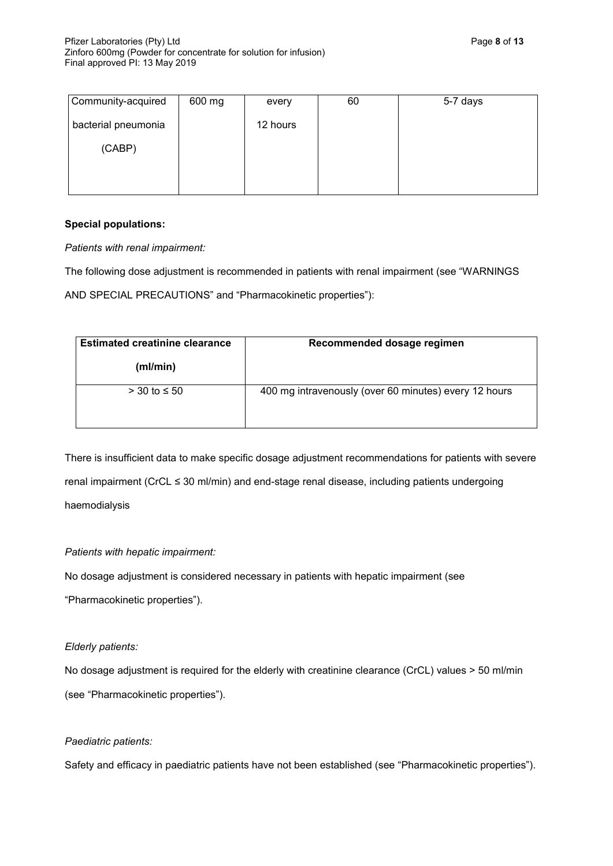| Community-acquired  | 600 mg | every    | 60 | 5-7 days |
|---------------------|--------|----------|----|----------|
| bacterial pneumonia |        | 12 hours |    |          |
| (CABP)              |        |          |    |          |
|                     |        |          |    |          |
|                     |        |          |    |          |

## **Special populations:**

*Patients with renal impairment:*

The following dose adjustment is recommended in patients with renal impairment (see "WARNINGS

AND SPECIAL PRECAUTIONS" and "Pharmacokinetic properties"):

| <b>Estimated creatinine clearance</b> | Recommended dosage regimen                            |  |  |
|---------------------------------------|-------------------------------------------------------|--|--|
| (ml/min)                              |                                                       |  |  |
| $>$ 30 to $\leq$ 50                   | 400 mg intravenously (over 60 minutes) every 12 hours |  |  |

There is insufficient data to make specific dosage adjustment recommendations for patients with severe renal impairment (CrCL ≤ 30 ml/min) and end-stage renal disease, including patients undergoing haemodialysis

## *Patients with hepatic impairment:*

No dosage adjustment is considered necessary in patients with hepatic impairment (see

"Pharmacokinetic properties").

## *Elderly patients:*

No dosage adjustment is required for the elderly with creatinine clearance (CrCL) values > 50 ml/min (see "Pharmacokinetic properties").

## *Paediatric patients:*

Safety and efficacy in paediatric patients have not been established (see "Pharmacokinetic properties").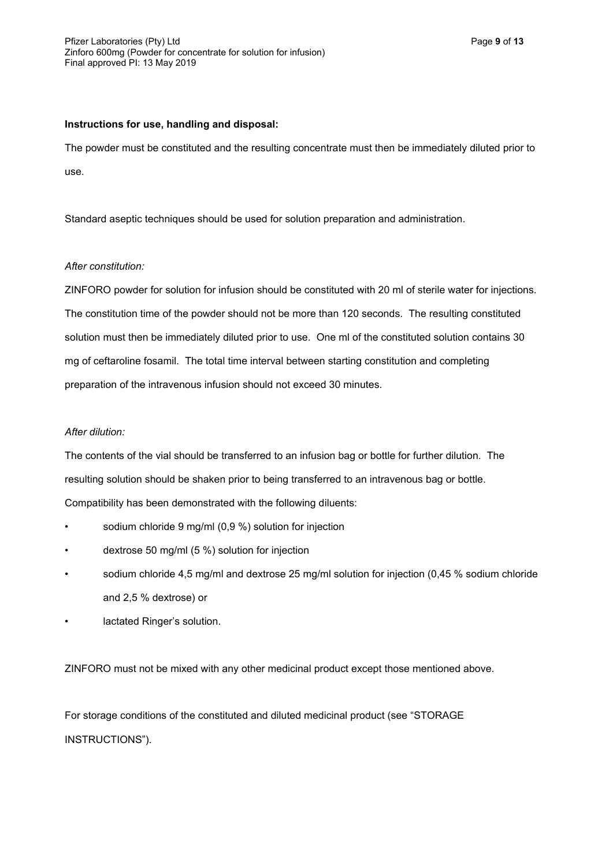## **Instructions for use, handling and disposal:**

The powder must be constituted and the resulting concentrate must then be immediately diluted prior to use.

Standard aseptic techniques should be used for solution preparation and administration.

## *After constitution:*

ZINFORO powder for solution for infusion should be constituted with 20 ml of sterile water for injections. The constitution time of the powder should not be more than 120 seconds. The resulting constituted solution must then be immediately diluted prior to use. One ml of the constituted solution contains 30 mg of ceftaroline fosamil. The total time interval between starting constitution and completing preparation of the intravenous infusion should not exceed 30 minutes.

## *After dilution:*

The contents of the vial should be transferred to an infusion bag or bottle for further dilution. The resulting solution should be shaken prior to being transferred to an intravenous bag or bottle. Compatibility has been demonstrated with the following diluents:

- sodium chloride 9 mg/ml (0,9 %) solution for injection
- dextrose 50 mg/ml (5 %) solution for injection
- sodium chloride 4,5 mg/ml and dextrose 25 mg/ml solution for injection (0,45 % sodium chloride and 2,5 % dextrose) or
- lactated Ringer's solution.

ZINFORO must not be mixed with any other medicinal product except those mentioned above.

For storage conditions of the constituted and diluted medicinal product (see "STORAGE INSTRUCTIONS").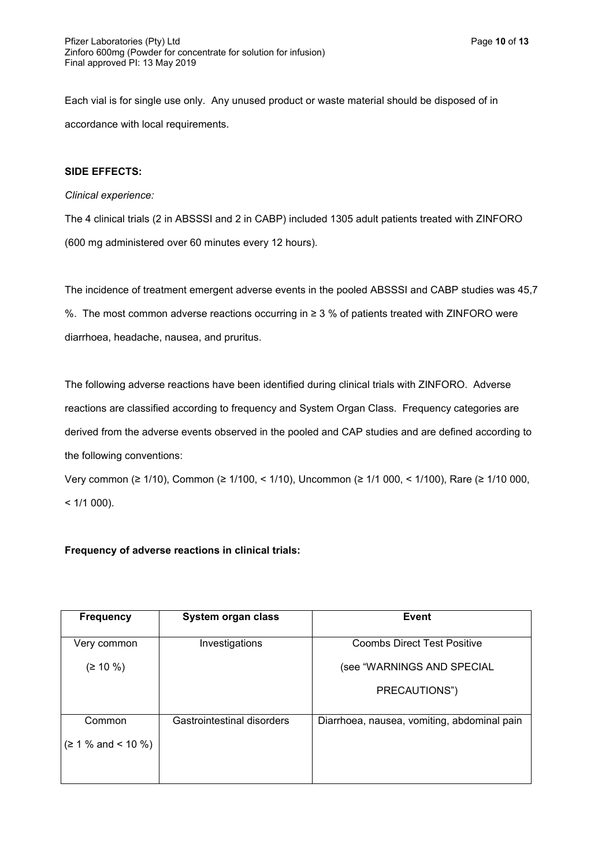Each vial is for single use only. Any unused product or waste material should be disposed of in accordance with local requirements.

## **SIDE EFFECTS:**

### *Clinical experience:*

The 4 clinical trials (2 in ABSSSI and 2 in CABP) included 1305 adult patients treated with ZINFORO (600 mg administered over 60 minutes every 12 hours).

The incidence of treatment emergent adverse events in the pooled ABSSSI and CABP studies was 45,7 %. The most common adverse reactions occurring in ≥ 3 % of patients treated with ZINFORO were diarrhoea, headache, nausea, and pruritus.

The following adverse reactions have been identified during clinical trials with ZINFORO. Adverse reactions are classified according to frequency and System Organ Class. Frequency categories are derived from the adverse events observed in the pooled and CAP studies and are defined according to the following conventions:

Very common (≥ 1/10), Common (≥ 1/100, < 1/10), Uncommon (≥ 1/1 000, < 1/100), Rare (≥ 1/10 000,  $< 1/1000$ ).

## **Frequency of adverse reactions in clinical trials:**

| <b>Frequency</b>          | System organ class         | Event                                       |
|---------------------------|----------------------------|---------------------------------------------|
| Very common               | Investigations             | <b>Coombs Direct Test Positive</b>          |
| $( \geq 10 \%)$           |                            | (see "WARNINGS AND SPECIAL                  |
|                           |                            | PRECAUTIONS")                               |
| Common                    | Gastrointestinal disorders | Diarrhoea, nausea, vomiting, abdominal pain |
|                           |                            |                                             |
| $( \geq 1 \%$ and < 10 %) |                            |                                             |
|                           |                            |                                             |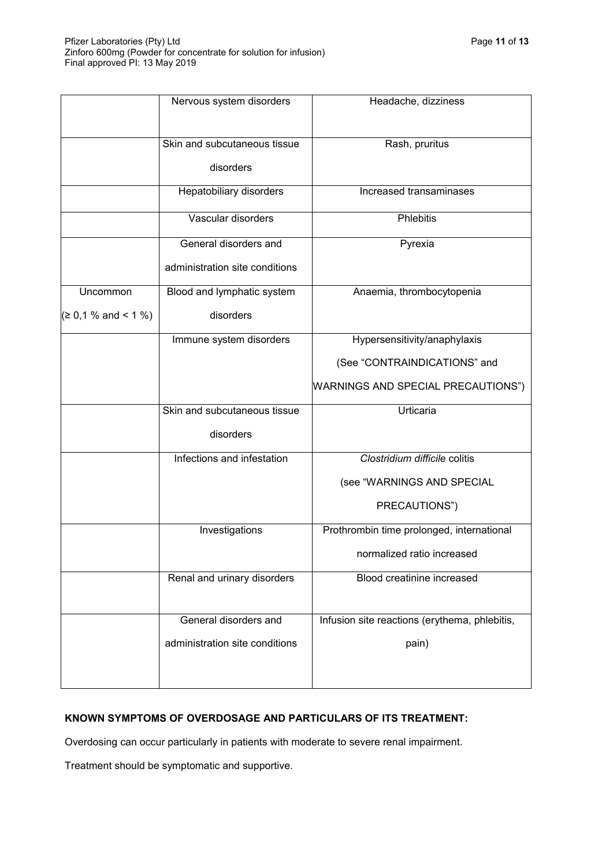|                     | Nervous system disorders                  | Headache, dizziness                           |
|---------------------|-------------------------------------------|-----------------------------------------------|
|                     | Skin and subcutaneous tissue<br>disorders | Rash, pruritus                                |
|                     | Hepatobiliary disorders                   | Increased transaminases                       |
|                     | Vascular disorders                        | Phlebitis                                     |
|                     | General disorders and                     | Pyrexia                                       |
|                     | administration site conditions            |                                               |
| Uncommon            | Blood and lymphatic system                | Anaemia, thrombocytopenia                     |
| (≥ 0,1 % and < 1 %) | disorders                                 |                                               |
|                     | Immune system disorders                   | Hypersensitivity/anaphylaxis                  |
|                     |                                           | (See "CONTRAINDICATIONS" and                  |
|                     |                                           | WARNINGS AND SPECIAL PRECAUTIONS")            |
|                     | Skin and subcutaneous tissue              | Urticaria                                     |
|                     | disorders                                 |                                               |
|                     | Infections and infestation                | Clostridium difficile colitis                 |
|                     |                                           | (see "WARNINGS AND SPECIAL                    |
|                     |                                           | PRECAUTIONS")                                 |
|                     | Investigations                            | Prothrombin time prolonged, international     |
|                     |                                           | normalized ratio increased                    |
|                     | Renal and urinary disorders               | Blood creatinine increased                    |
|                     | General disorders and                     | Infusion site reactions (erythema, phlebitis, |
|                     | administration site conditions            | pain)                                         |

# **KNOWN SYMPTOMS OF OVERDOSAGE AND PARTICULARS OF ITS TREATMENT:**

Overdosing can occur particularly in patients with moderate to severe renal impairment.

Treatment should be symptomatic and supportive.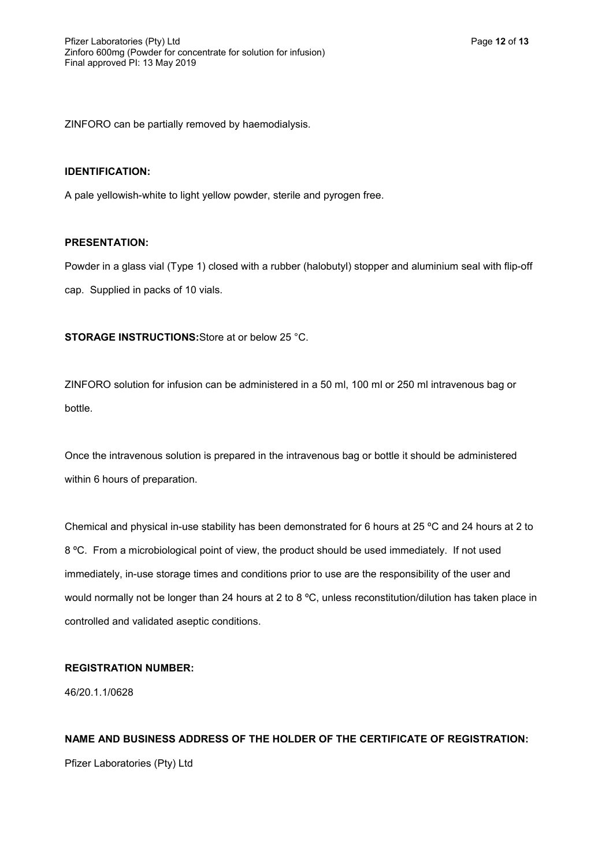ZINFORO can be partially removed by haemodialysis.

#### **IDENTIFICATION:**

A pale yellowish-white to light yellow powder, sterile and pyrogen free.

### **PRESENTATION:**

Powder in a glass vial (Type 1) closed with a rubber (halobutyl) stopper and aluminium seal with flip-off cap. Supplied in packs of 10 vials.

**STORAGE INSTRUCTIONS:**Store at or below 25 °C.

ZINFORO solution for infusion can be administered in a 50 ml, 100 ml or 250 ml intravenous bag or bottle.

Once the intravenous solution is prepared in the intravenous bag or bottle it should be administered within 6 hours of preparation.

Chemical and physical in-use stability has been demonstrated for 6 hours at 25 ºC and 24 hours at 2 to 8 ºC. From a microbiological point of view, the product should be used immediately. If not used immediately, in-use storage times and conditions prior to use are the responsibility of the user and would normally not be longer than 24 hours at 2 to 8 °C, unless reconstitution/dilution has taken place in controlled and validated aseptic conditions.

### **REGISTRATION NUMBER:**

46/20.1.1/0628

# **NAME AND BUSINESS ADDRESS OF THE HOLDER OF THE CERTIFICATE OF REGISTRATION:**

Pfizer Laboratories (Pty) Ltd